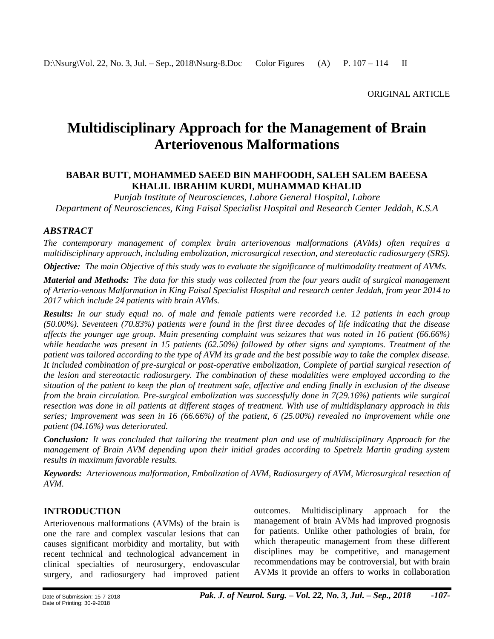# **Multidisciplinary Approach for the Management of Brain Arteriovenous Malformations**

## **BABAR BUTT, MOHAMMED SAEED BIN MAHFOODH, SALEH SALEM BAEESA KHALIL IBRAHIM KURDI, MUHAMMAD KHALID**

*Punjab Institute of Neurosciences, Lahore General Hospital, Lahore Department of Neurosciences, King Faisal Specialist Hospital and Research Center Jeddah, K.S.A*

## *ABSTRACT*

*The contemporary management of complex brain arteriovenous malformations (AVMs) often requires a multidisciplinary approach, including embolization, microsurgical resection, and stereotactic radiosurgery (SRS).*

*Objective: The main Objective of this study was to evaluate the significance of multimodality treatment of AVMs.*

*Material and Methods: The data for this study was collected from the four years audit of surgical management of Arterio-venous Malformation in King Faisal Specialist Hospital and research center Jeddah, from year 2014 to 2017 which include 24 patients with brain AVMs.*

*Results: In our study equal no. of male and female patients were recorded i.e. 12 patients in each group (50.00%). Seventeen (70.83%) patients were found in the first three decades of life indicating that the disease affects the younger age group. Main presenting complaint was seizures that was noted in 16 patient (66.66%) while headache was present in 15 patients (62.50%) followed by other signs and symptoms. Treatment of the patient was tailored according to the type of AVM its grade and the best possible way to take the complex disease. It included combination of pre-surgical or post-operative embolization, Complete of partial surgical resection of the lesion and stereotactic radiosurgery. The combination of these modalities were employed according to the situation of the patient to keep the plan of treatment safe, affective and ending finally in exclusion of the disease from the brain circulation. Pre-surgical embolization was successfully done in 7(29.16%) patients wile surgical resection was done in all patients at different stages of treatment. With use of multidisplanary approach in this series; Improvement was seen in 16 (66.66%) of the patient, 6 (25.00%) revealed no improvement while one patient (04.16%) was deteriorated.*

*Conclusion: It was concluded that tailoring the treatment plan and use of multidisciplinary Approach for the management of Brain AVM depending upon their initial grades according to Spetrelz Martin grading system results in maximum favorable results.*

*Keywords: Arteriovenous malformation, Embolization of AVM, Radiosurgery of AVM, Microsurgical resection of AVM.*

# **INTRODUCTION**

Arteriovenous malformations (AVMs) of the brain is one the rare and complex vascular lesions that can causes significant morbidity and mortality, but with recent technical and technological advancement in clinical specialties of neurosurgery, endovascular surgery, and radiosurgery had improved patient outcomes. Multidisciplinary approach for the management of brain AVMs had improved prognosis for patients. Unlike other pathologies of brain, for which therapeutic management from these different disciplines may be competitive, and management recommendations may be controversial, but with brain AVMs it provide an offers to works in collaboration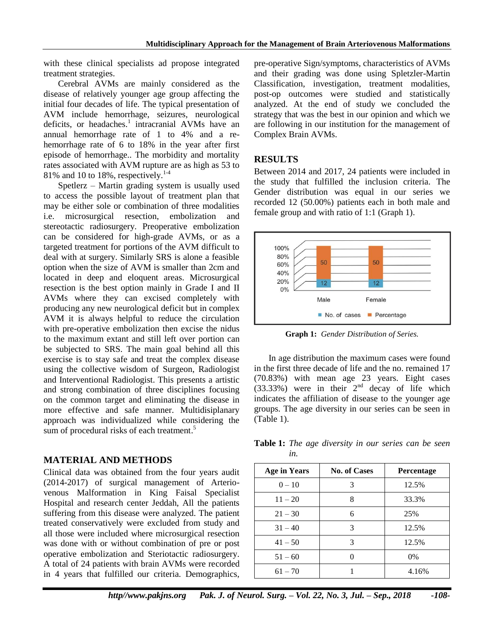with these clinical specialists ad propose integrated treatment strategies.

Cerebral AVMs are mainly considered as the disease of relatively younger age group affecting the initial four decades of life. The typical presentation of AVM include hemorrhage, seizures, neurological deficits, or headaches.<sup>1</sup> intracranial AVMs have an annual hemorrhage rate of 1 to 4% and a rehemorrhage rate of 6 to 18% in the year after first episode of hemorrhage.. The morbidity and mortality rates associated with AVM rupture are as high as 53 to 81% and 10 to 18%, respectively. $1.4$ 

Spetlerz – Martin grading system is usually used to access the possible layout of treatment plan that may be either sole or combination of three modalities i.e. microsurgical resection, embolization and stereotactic radiosurgery. Preoperative embolization can be considered for high-grade AVMs, or as a targeted treatment for portions of the AVM difficult to deal with at surgery. Similarly SRS is alone a feasible option when the size of AVM is smaller than 2cm and located in deep and eloquent areas. Microsurgical resection is the best option mainly in Grade I and II AVMs where they can excised completely with producing any new neurological deficit but in complex AVM it is always helpful to reduce the circulation with pre-operative embolization then excise the nidus to the maximum extant and still left over portion can be subjected to SRS. The main goal behind all this exercise is to stay safe and treat the complex disease using the collective wisdom of Surgeon, Radiologist and Interventional Radiologist. This presents a artistic and strong combination of three disciplines focusing on the common target and eliminating the disease in more effective and safe manner. Multidisiplanary approach was individualized while considering the sum of procedural risks of each treatment.<sup>5</sup>

## **MATERIAL AND METHODS**

Clinical data was obtained from the four years audit (2014-2017) of surgical management of Arteriovenous Malformation in King Faisal Specialist Hospital and research center Jeddah, All the patients suffering from this disease were analyzed. The patient treated conservatively were excluded from study and all those were included where microsurgical resection was done with or without combination of pre or post operative embolization and Steriotactic radiosurgery. A total of 24 patients with brain AVMs were recorded in 4 years that fulfilled our criteria. Demographics,

pre-operative Sign/symptoms, characteristics of AVMs and their grading was done using Spletzler-Martin Classification, investigation, treatment modalities, post-op outcomes were studied and statistically analyzed. At the end of study we concluded the strategy that was the best in our opinion and which we are following in our institution for the management of Complex Brain AVMs.

# **RESULTS**

Between 2014 and 2017, 24 patients were included in the study that fulfilled the inclusion criteria. The Gender distribution was equal in our series we recorded 12 (50.00%) patients each in both male and female group and with ratio of 1:1 (Graph 1).



**Graph 1:** *Gender Distribution of Series.*

In age distribution the maximum cases were found in the first three decade of life and the no. remained 17 (70.83%) with mean age 23 years. Eight cases  $(33.33%)$  were in their  $2<sup>nd</sup>$  decay of life which indicates the affiliation of disease to the younger age groups. The age diversity in our series can be seen in (Table 1).

**Table 1:** *The age diversity in our series can be seen in.*

| <b>Age in Years</b> | <b>No. of Cases</b> | <b>Percentage</b> |
|---------------------|---------------------|-------------------|
| $0 - 10$            | 3                   | 12.5%             |
| $11 - 20$           | 8                   | 33.3%             |
| $21 - 30$           | 6                   | 25%               |
| $31 - 40$           | 3                   | 12.5%             |
| $41 - 50$           | 3                   | 12.5%             |
| $51 - 60$           |                     | $0\%$             |
| $61 - 70$           |                     | 4.16%             |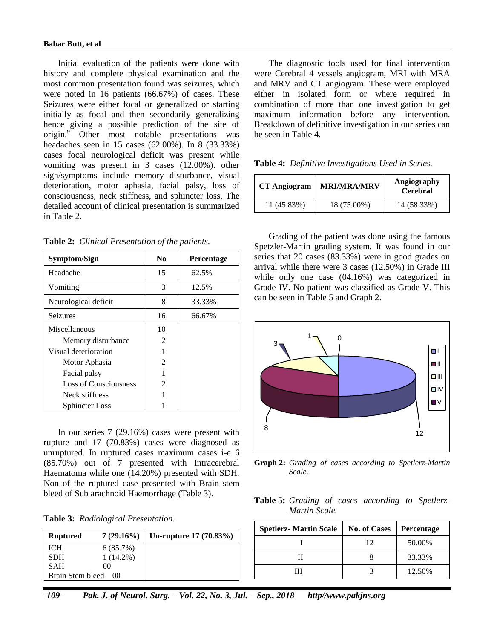Initial evaluation of the patients were done with history and complete physical examination and the most common presentation found was seizures, which were noted in 16 patients (66.67%) of cases. These Seizures were either focal or generalized or starting initially as focal and then secondarily generalizing hence giving a possible prediction of the site of origin.<sup>9</sup> Other most notable presentations was headaches seen in 15 cases (62.00%). In 8 (33.33%) cases focal neurological deficit was present while vomiting was present in 3 cases (12.00%). other sign/symptoms include memory disturbance, visual deterioration, motor aphasia, facial palsy, loss of consciousness, neck stiffness, and sphincter loss. The detailed account of clinical presentation is summarized in Table 2.

**Table 2:** *Clinical Presentation of the patients.*

| Symptom/Sign          | N <sub>0</sub> | <b>Percentage</b> |
|-----------------------|----------------|-------------------|
| Headache              | 15             | 62.5%             |
| Vomiting              | 3              | 12.5%             |
| Neurological deficit  | 8              | 33.33%            |
| <b>Seizures</b>       | 16             | 66.67%            |
| Miscellaneous         | 10             |                   |
| Memory disturbance    | 2              |                   |
| Visual deterioration  |                |                   |
| Motor Aphasia         | 2              |                   |
| Facial palsy          |                |                   |
| Loss of Consciousness | 2              |                   |
| Neck stiffness        |                |                   |
| Sphincter Loss        |                |                   |

In our series 7 (29.16%) cases were present with rupture and 17 (70.83%) cases were diagnosed as unruptured. In ruptured cases maximum cases i-e 6 (85.70%) out of 7 presented with Intracerebral Haematoma while one (14.20%) presented with SDH. Non of the ruptured case presented with Brain stem bleed of Sub arachnoid Haemorrhage (Table 3).

|  | Table 3: Radiological Presentation. |  |
|--|-------------------------------------|--|
|--|-------------------------------------|--|

| <b>Ruptured</b>     | $7(29.16\%)$ | Un-rupture 17 (70.83%) |
|---------------------|--------------|------------------------|
| <b>ICH</b>          | 6(85.7%)     |                        |
| <b>SDH</b>          | $1(14.2\%)$  |                        |
| <b>SAH</b>          | $($ $)($     |                        |
| Brain Stem bleed 00 |              |                        |

The diagnostic tools used for final intervention were Cerebral 4 vessels angiogram, MRI with MRA and MRV and CT angiogram. These were employed either in isolated form or where required in combination of more than one investigation to get maximum information before any intervention. Breakdown of definitive investigation in our series can be seen in Table 4.

**Table 4:** *Definitive Investigations Used in Series.*

| <b>CT</b> Angiogram | <b>MRI/MRA/MRV</b> | Angiography<br><b>Cerebral</b> |
|---------------------|--------------------|--------------------------------|
| 11 (45.83%)         | 18 (75.00%)        | 14 (58.33%)                    |

Grading of the patient was done using the famous Spetzler-Martin grading system. It was found in our series that 20 cases (83.33%) were in good grades on arrival while there were 3 cases (12.50%) in Grade III while only one case (04.16%) was categorized in Grade IV. No patient was classified as Grade V. This can be seen in Table 5 and Graph 2.



**Graph 2:** *Grading of cases according to Spetlerz-Martin Scale.*

**Table 5:** *Grading of cases according to Spetlerz-Martin Scale.*

| <b>Spetlerz- Martin Scale</b> | <b>No. of Cases</b> | <b>Percentage</b> |
|-------------------------------|---------------------|-------------------|
|                               | 12                  | 50.00%            |
|                               |                     | 33.33%            |
|                               |                     | 12.50%            |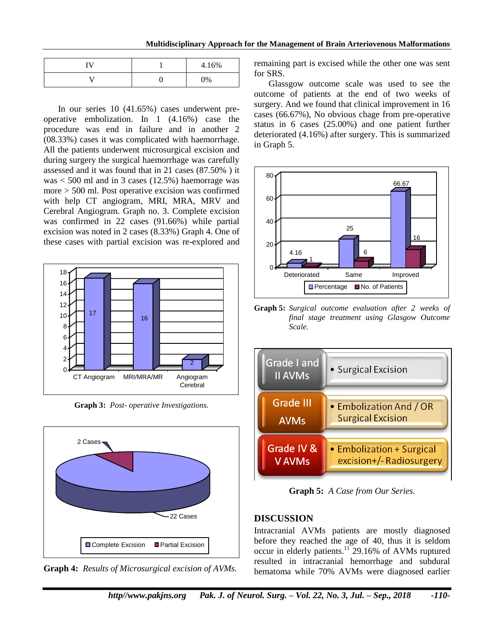#### **Multidisciplinary Approach for the Management of Brain Arteriovenous Malformations**

| <b>TT</b> | 4.16% |
|-----------|-------|
|           | 0%    |

In our series 10 (41.65%) cases underwent preoperative embolization. In 1 (4.16%) case the procedure was end in failure and in another 2 (08.33%) cases it was complicated with haemorrhage. All the patients underwent microsurgical excision and during surgery the surgical haemorrhage was carefully assessed and it was found that in 21 cases (87.50% ) it was  $<$  500 ml and in 3 cases (12.5%) haemorrage was more > 500 ml. Post operative excision was confirmed with help CT angiogram, MRI, MRA, MRV and Cerebral Angiogram. Graph no. 3. Complete excision was confirmed in 22 cases (91.66%) while partial excision was noted in 2 cases (8.33%) Graph 4. One of these cases with partial excision was re-explored and



**Graph 3:** *Post- operative Investigations.*



**Graph 4:** *Results of Microsurgical excision of AVMs.*

remaining part is excised while the other one was sent for SRS.

Glassgow outcome scale was used to see the outcome of patients at the end of two weeks of surgery. And we found that clinical improvement in 16 cases (66.67%), No obvious chage from pre-operative status in 6 cases (25.00%) and one patient further deteriorated (4.16%) after surgery. This is summarized in Graph 5.



**Graph 5:** *Surgical outcome evaluation after 2 weeks of final stage treatment using Glasgow Outcome Scale.*



**Graph 5:** *A Case from Our Series.*

# **DISCUSSION**

Intracranial AVMs patients are mostly diagnosed before they reached the age of 40, thus it is seldom occur in elderly patients.<sup>11</sup> 29.16% of AVMs ruptured resulted in intracranial hemorrhage and subdural hematoma while 70% AVMs were diagnosed earlier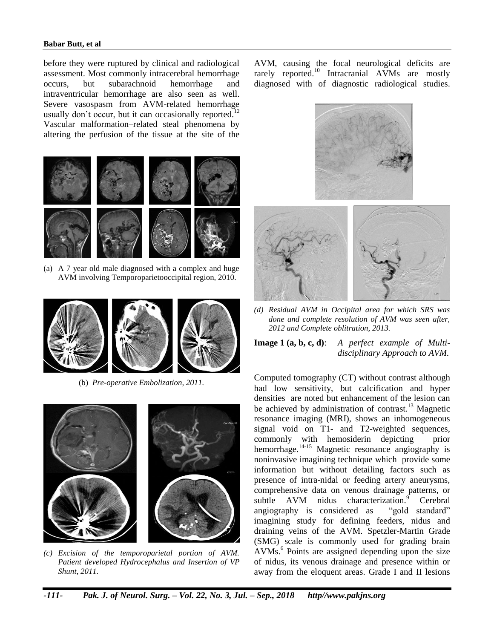#### **Babar Butt, et al**

before they were ruptured by clinical and radiological assessment. Most commonly intracerebral hemorrhage occurs, but subarachnoid hemorrhage and intraventricular hemorrhage are also seen as well. Severe vasospasm from AVM-related hemorrhage usually don't occur, but it can occasionally reported.<sup>12</sup> Vascular malformation–related steal phenomena by altering the perfusion of the tissue at the site of the



(a) A 7 year old male diagnosed with a complex and huge AVM involving Temporoparietooccipital region, 2010.



(b) *Pre-operative Embolization, 2011.*



*(c) Excision of the temporoparietal portion of AVM. Patient developed Hydrocephalus and Insertion of VP Shunt, 2011.*

AVM, causing the focal neurological deficits are rarely reported.<sup>10</sup> Intracranial AVMs are mostly diagnosed with of diagnostic radiological studies.



*(d) Residual AVM in Occipital area for which SRS was done and complete resolution of AVM was seen after, 2012 and Complete oblitration, 2013.*

**Image 1 (a, b, c, d)**: *A perfect example of Multidisciplinary Approach to AVM.*

Computed tomography (CT) without contrast although had low sensitivity, but calcification and hyper densities are noted but enhancement of the lesion can be achieved by administration of contrast.<sup>13</sup> Magnetic resonance imaging (MRI), shows an inhomogeneous signal void on T1- and T2-weighted sequences, commonly with hemosiderin depicting prior hemorrhage.<sup>14-15</sup> Magnetic resonance angiography is noninvasive imagining technique which provide some information but without detailing factors such as presence of intra-nidal or feeding artery aneurysms, comprehensive data on venous drainage patterns, or subtle  $AVM$  nidus characterization.<sup>9</sup> Cerebral angiography is considered as "gold standard" imagining study for defining feeders, nidus and draining veins of the AVM. Spetzler-Martin Grade (SMG) scale is commonly used for grading brain AVMs.<sup>6</sup> Points are assigned depending upon the size of nidus, its venous drainage and presence within or away from the eloquent areas. Grade I and II lesions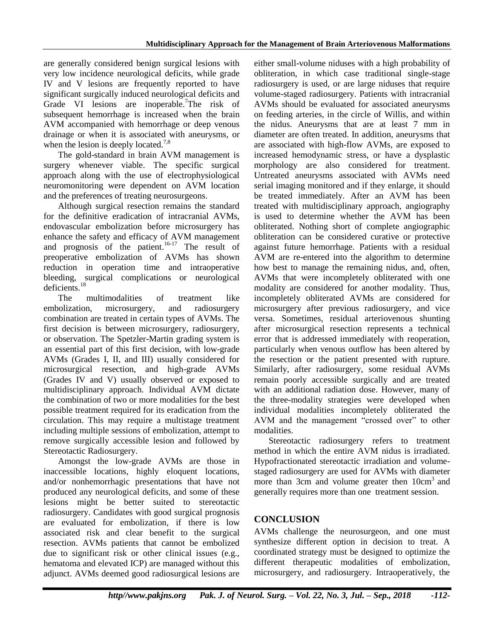are generally considered benign surgical lesions with very low incidence neurological deficits, while grade IV and V lesions are frequently reported to have significant surgically induced neurological deficits and Grade VI lesions are inoperable.<sup>7</sup>The risk of subsequent hemorrhage is increased when the brain AVM accompanied with hemorrhage or deep venous drainage or when it is associated with aneurysms, or when the lesion is deeply located.<sup>7,8</sup>

The gold-standard in brain AVM management is surgery whenever viable. The specific surgical approach along with the use of electrophysiological neuromonitoring were dependent on AVM location and the preferences of treating neurosurgeons.

Although surgical resection remains the standard for the definitive eradication of intracranial AVMs, endovascular embolization before microsurgery has enhance the safety and efficacy of AVM management and prognosis of the patient.<sup>16-17</sup> The result of preoperative embolization of AVMs has shown reduction in operation time and intraoperative bleeding, surgical complications or neurological deficients. $18$ 

The multimodalities of treatment like embolization, microsurgery, and radiosurgery combination are treated in certain types of AVMs. The first decision is between microsurgery, radiosurgery, or observation. The Spetzler-Martin grading system is an essential part of this first decision, with low-grade AVMs (Grades I, II, and III) usually considered for microsurgical resection, and high-grade AVMs (Grades IV and V) usually observed or exposed to multidisciplinary approach. Individual AVM dictate the combination of two or more modalities for the best possible treatment required for its eradication from the circulation. This may require a multistage treatment including multiple sessions of embolization, attempt to remove surgically accessible lesion and followed by Stereotactic Radiosurgery.

Amongst the low-grade AVMs are those in inaccessible locations, highly eloquent locations, and/or nonhemorrhagic presentations that have not produced any neurological deficits, and some of these lesions might be better suited to stereotactic radiosurgery. Candidates with good surgical prognosis are evaluated for embolization, if there is low associated risk and clear benefit to the surgical resection. AVMs patients that cannot be embolized due to significant risk or other clinical issues (e.g., hematoma and elevated ICP) are managed without this adjunct. AVMs deemed good radiosurgical lesions are

either small-volume niduses with a high probability of obliteration, in which case traditional single-stage radiosurgery is used, or are large niduses that require volume-staged radiosurgery. Patients with intracranial AVMs should be evaluated for associated aneurysms on feeding arteries, in the circle of Willis, and within the nidus. Aneurysms that are at least 7 mm in diameter are often treated. In addition, aneurysms that are associated with high-flow AVMs, are exposed to increased hemodynamic stress, or have a dysplastic morphology are also considered for treatment. Untreated aneurysms associated with AVMs need serial imaging monitored and if they enlarge, it should be treated immediately. After an AVM has been treated with multidisciplinary approach, angiography is used to determine whether the AVM has been obliterated. Nothing short of complete angiographic obliteration can be considered curative or protective against future hemorrhage. Patients with a residual AVM are re-entered into the algorithm to determine how best to manage the remaining nidus, and, often, AVMs that were incompletely obliterated with one modality are considered for another modality. Thus, incompletely obliterated AVMs are considered for microsurgery after previous radiosurgery, and vice versa. Sometimes, residual arteriovenous shunting after microsurgical resection represents a technical error that is addressed immediately with reoperation, particularly when venous outflow has been altered by the resection or the patient presented with rupture. Similarly, after radiosurgery, some residual AVMs remain poorly accessible surgically and are treated with an additional radiation dose. However, many of the three-modality strategies were developed when individual modalities incompletely obliterated the AVM and the management "crossed over" to other modalities.

Stereotactic radiosurgery refers to treatment method in which the entire AVM nidus is irradiated. Hypofractionated stereotactic irradiation and volumestaged radiosurgery are used for AVMs with diameter more than 3cm and volume greater then  $10 \text{cm}^3$  and generally requires more than one treatment session.

## **CONCLUSION**

AVMs challenge the neurosurgeon, and one must synthesize different option in decision to treat. A coordinated strategy must be designed to optimize the different therapeutic modalities of embolization, microsurgery, and radiosurgery. Intraoperatively, the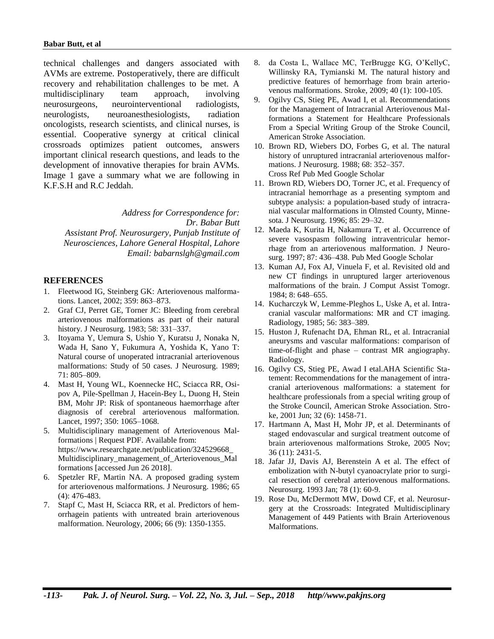technical challenges and dangers associated with AVMs are extreme. Postoperatively, there are difficult recovery and rehabilitation challenges to be met. A multidisciplinary team approach, involving neurosurgeons, neurointerventional radiologists, neurologists, neuroanesthesiologists, radiation oncologists, research scientists, and clinical nurses, is essential. Cooperative synergy at critical clinical crossroads optimizes patient outcomes, answers important clinical research questions, and leads to the development of innovative therapies for brain AVMs. Image 1 gave a summary what we are following in K.F.S.H and R.C Jeddah.

*Address for Correspondence for: Dr. Babar Butt Assistant Prof. Neurosurgery, Punjab Institute of Neurosciences, Lahore General Hospital, Lahore Email: babarnslgh@gmail.com*

#### **REFERENCES**

- 1. Fleetwood IG, Steinberg GK: Arteriovenous malformations. Lancet, 2002; 359: 863–873.
- 2. Graf CJ, Perret GE, Torner JC: Bleeding from cerebral arteriovenous malformations as part of their natural history. J Neurosurg. 1983; 58: 331–337.
- 3. Itoyama Y, Uemura S, Ushio Y, Kuratsu J, Nonaka N, Wada H, Sano Y, Fukumura A, Yoshida K, Yano T: Natural course of unoperated intracranial arteriovenous malformations: Study of 50 cases. J Neurosurg. 1989; 71: 805–809.
- 4. Mast H, Young WL, Koennecke HC, Sciacca RR, Osipov A, Pile-Spellman J, Hacein-Bey L, Duong H, Stein BM, Mohr JP: Risk of spontaneous haemorrhage after diagnosis of cerebral arteriovenous malformation. Lancet, 1997; 350: 1065–1068.
- 5. Multidisciplinary management of Arteriovenous Malformations | Request PDF. Available from: [https://www.researchgate.net/publication/324529668\\_](https://www.researchgate.net/publication/324529668_Multidisciplinary_management_of_Arteriovenous_Malformations) [Multidisciplinary\\_management\\_of\\_Arteriovenous\\_Mal](https://www.researchgate.net/publication/324529668_Multidisciplinary_management_of_Arteriovenous_Malformations) [formations](https://www.researchgate.net/publication/324529668_Multidisciplinary_management_of_Arteriovenous_Malformations) [accessed Jun 26 2018].
- 6. Spetzler RF, Martin NA. A proposed grading system for arteriovenous malformations. J Neurosurg. 1986; 65 (4): 476-483.
- 7. Stapf C, Mast H, Sciacca RR, et al. Predictors of hemorrhagein patients with untreated brain arteriovenous malformation. Neurology, 2006; 66 (9): 1350-1355.
- 8. da Costa L, Wallace MC, TerBrugge KG, O'KellyC, Willinsky RA, Tymianski M. The natural history and predictive features of hemorrhage from brain arteriovenous malformations. Stroke, 2009; 40 (1): 100-105.
- 9. Ogilvy CS, Stieg PE, Awad I, et al. Recommendations for the Management of Intracranial Arteriovenous Malformations a Statement for Healthcare Professionals From a Special Writing Group of the Stroke Council, American Stroke Association.
- 10. Brown RD, Wiebers DO, Forbes G, et al. The natural history of unruptured intracranial arteriovenous malformations. J Neurosurg. 1988; 68: 352–357. Cross Ref Pub Med Google Scholar
- 11. Brown RD, Wiebers DO, Torner JC, et al. Frequency of intracranial hemorrhage as a presenting symptom and subtype analysis: a population-based study of intracranial vascular malformations in Olmsted County, Minnesota. J Neurosurg. 1996; 85: 29–32.
- 12. Maeda K, Kurita H, Nakamura T, et al. Occurrence of severe vasospasm following intraventricular hemorrhage from an arteriovenous malformation. J Neurosurg. 1997; 87: 436–438. Pub Med Google Scholar
- 13. Kuman AJ, Fox AJ, Vinuela F, et al. Revisited old and new CT findings in unruptured larger arteriovenous malformations of the brain. J Comput Assist Tomogr*.*  1984; 8: 648–655.
- 14. Kucharczyk W, Lemme-Pleghos L, Uske A, et al. Intracranial vascular malformations: MR and CT imaging. Radiology, 1985; 56: 383–389.
- 15. Huston J, Rufenacht DA, Ehman RL, et al. Intracranial aneurysms and vascular malformations: comparison of time-of-flight and phase – contrast MR angiography. Radiology.
- 16. Ogilvy CS, Stieg PE, Awad I etal.AHA Scientific Statement: Recommendations for the management of intracranial arteriovenous malformations: a statement for healthcare professionals from a special writing group of the Stroke Council, American Stroke Association. Stroke, 2001 Jun; 32 (6): 1458-71.
- 17. Hartmann A, Mast H, Mohr JP, et al. Determinants of staged endovascular and surgical treatment outcome of brain arteriovenous malformations Stroke, 2005 Nov; 36 (11): 2431-5.
- 18. Jafar JJ, Davis AJ, Berenstein A et al. The effect of embolization with N-butyl cyanoacrylate prior to surgical resection of cerebral arteriovenous malformations. Neurosurg. 1993 Jan; 78 (1): 60-9.
- 19. Rose Du, McDermott MW, Dowd CF, et al. Neurosurgery at the Crossroads: Integrated Multidisciplinary Management of 449 Patients with Brain Arteriovenous Malformations.